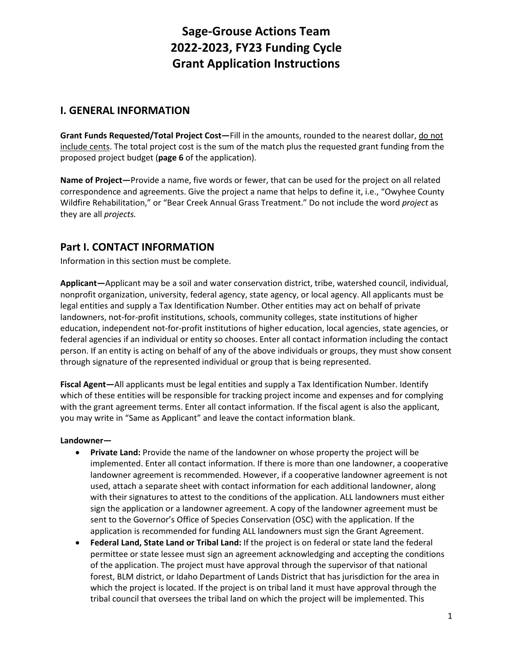# **Sage-Grouse Actions Team 2022-2023, FY23 Funding Cycle Grant Application Instructions**

## **I. GENERAL INFORMATION**

**Grant Funds Requested/Total Project Cost—**Fill in the amounts, rounded to the nearest dollar, do not include cents. The total project cost is the sum of the match plus the requested grant funding from the proposed project budget (**page 6** of the application).

**Name of Project—**Provide a name, five words or fewer, that can be used for the project on all related correspondence and agreements. Give the project a name that helps to define it, i.e., "Owyhee County Wildfire Rehabilitation," or "Bear Creek Annual Grass Treatment." Do not include the word *project* as they are all *projects.*

## **Part I. CONTACT INFORMATION**

Information in this section must be complete.

**Applicant—**Applicant may be a soil and water conservation district, tribe, watershed council, individual, nonprofit organization, university, federal agency, state agency, or local agency. All applicants must be legal entities and supply a Tax Identification Number. Other entities may act on behalf of private landowners, not-for-profit institutions, schools, community colleges, state institutions of higher education, independent not-for-profit institutions of higher education, local agencies, state agencies, or federal agencies if an individual or entity so chooses. Enter all contact information including the contact person. If an entity is acting on behalf of any of the above individuals or groups, they must show consent through signature of the represented individual or group that is being represented.

**Fiscal Agent—**All applicants must be legal entities and supply a Tax Identification Number. Identify which of these entities will be responsible for tracking project income and expenses and for complying with the grant agreement terms. Enter all contact information. If the fiscal agent is also the applicant, you may write in "Same as Applicant" and leave the contact information blank.

#### **Landowner—**

- **Private Land:** Provide the name of the landowner on whose property the project will be implemented. Enter all contact information. If there is more than one landowner, a cooperative landowner agreement is recommended. However, if a cooperative landowner agreement is not used, attach a separate sheet with contact information for each additional landowner, along with their signatures to attest to the conditions of the application. ALL landowners must either sign the application or a landowner agreement. A copy of the landowner agreement must be sent to the Governor's Office of Species Conservation (OSC) with the application. If the application is recommended for funding ALL landowners must sign the Grant Agreement.
- **Federal Land, State Land or Tribal Land:** If the project is on federal or state land the federal permittee or state lessee must sign an agreement acknowledging and accepting the conditions of the application. The project must have approval through the supervisor of that national forest, BLM district, or Idaho Department of Lands District that has jurisdiction for the area in which the project is located. If the project is on tribal land it must have approval through the tribal council that oversees the tribal land on which the project will be implemented. This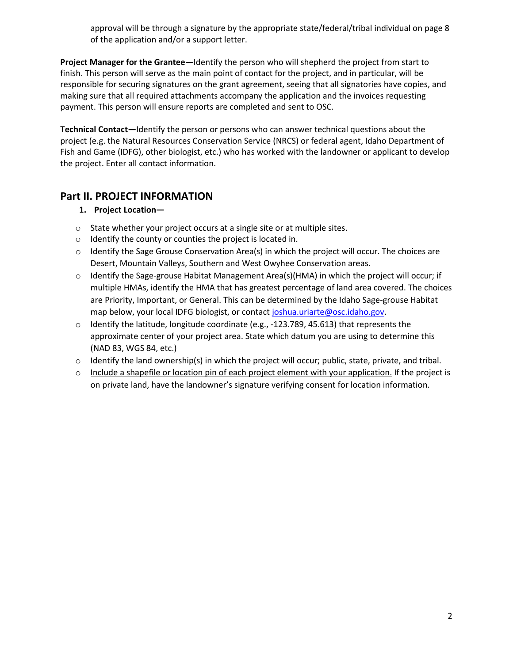approval will be through a signature by the appropriate state/federal/tribal individual on page 8 of the application and/or a support letter.

**Project Manager for the Grantee—**Identify the person who will shepherd the project from start to finish. This person will serve as the main point of contact for the project, and in particular, will be responsible for securing signatures on the grant agreement, seeing that all signatories have copies, and making sure that all required attachments accompany the application and the invoices requesting payment. This person will ensure reports are completed and sent to OSC.

**Technical Contact—**Identify the person or persons who can answer technical questions about the project (e.g. the Natural Resources Conservation Service (NRCS) or federal agent, Idaho Department of Fish and Game (IDFG), other biologist, etc.) who has worked with the landowner or applicant to develop the project. Enter all contact information.

## **Part II. PROJECT INFORMATION**

### **1. Project Location—**

- o State whether your project occurs at a single site or at multiple sites.
- o Identify the county or counties the project is located in.
- $\circ$  Identify the Sage Grouse Conservation Area(s) in which the project will occur. The choices are Desert, Mountain Valleys, Southern and West Owyhee Conservation areas.
- $\circ$  Identify the Sage-grouse Habitat Management Area(s)(HMA) in which the project will occur; if multiple HMAs, identify the HMA that has greatest percentage of land area covered. The choices are Priority, Important, or General. This can be determined by the Idaho Sage-grouse Habitat map below, your local IDFG biologist, or contac[t joshua.uriarte@osc.idaho.gov.](mailto:joshua.uriarte@osc.idaho.gov)
- $\circ$  Identify the latitude, longitude coordinate (e.g., -123.789, 45.613) that represents the approximate center of your project area. State which datum you are using to determine this (NAD 83, WGS 84, etc.)
- $\circ$  Identify the land ownership(s) in which the project will occur; public, state, private, and tribal.
- o Include a shapefile or location pin of each project element with your application. If the project is on private land, have the landowner's signature verifying consent for location information.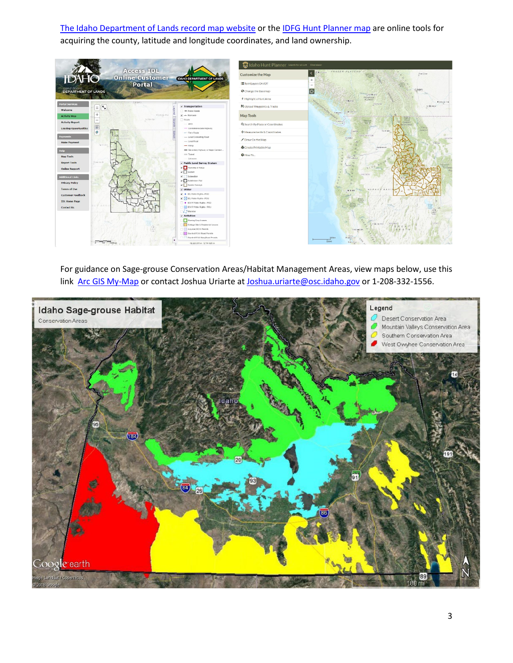[The Idaho Department of Lands record map website](https://landfolioportal.idl.idaho.gov/site/MapPage.aspx?PageID=4c9b944b-5d89-43a6-9b33-95cc3c7ab412) or the [IDFG Hunt Planner map](https://idfg.idaho.gov/ifwis/huntplanner/mapcenter/) are online tools for acquiring the county, latitude and longitude coordinates, and land ownership.



For guidance on Sage-grouse Conservation Areas/Habitat Management Areas, view maps below, use this link [Arc GIS My-Map](https://www.arcgis.com/home/webmap/viewer.html?featurecollection=https%3A%2F%2Fgis.idfg.idaho.gov%2Fserver%2Frest%2Fservices%2FWildlife%2FGreater_Sage_grouse_Habitat%2FMapServer%3Ff%3Djson%26option%3Dfootprints&supportsProjection=true&supportsJSONP=true) or contact Joshua Uriarte a[t Joshua.uriarte@osc.idaho.gov](mailto:Joshua.uriarte@osc.idaho.gov) or 1-208-332-1556.

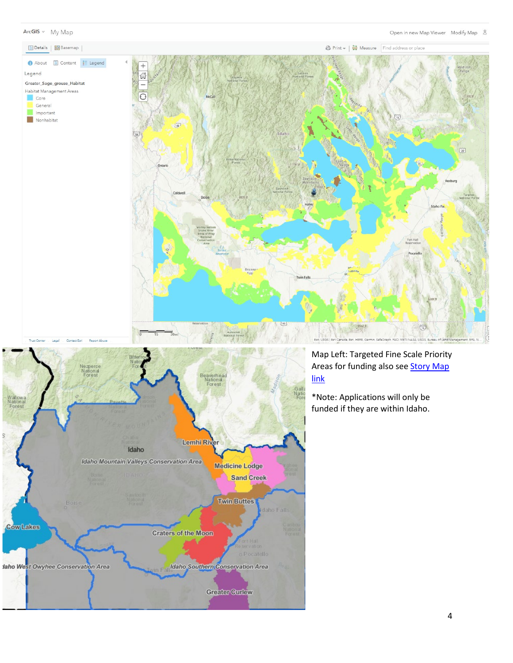





## Map Left: Targeted Fine Scale Priority Areas for funding also see **Story Map** link

\*Note: Applications will only be funded if they are within Idaho.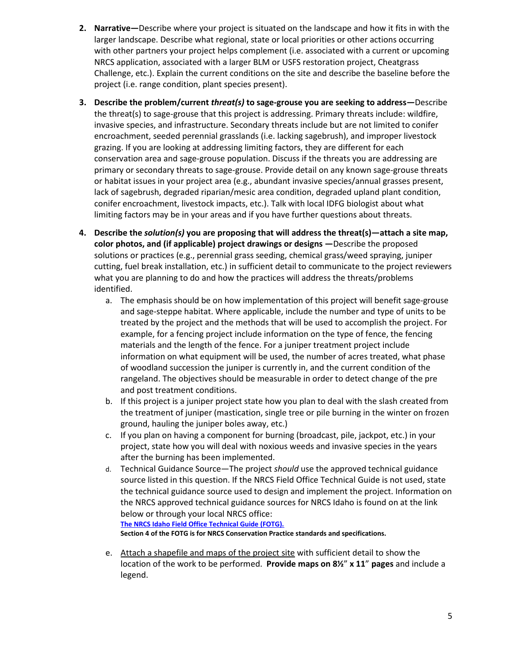- **2. Narrative—**Describe where your project is situated on the landscape and how it fits in with the larger landscape. Describe what regional, state or local priorities or other actions occurring with other partners your project helps complement (i.e. associated with a current or upcoming NRCS application, associated with a larger BLM or USFS restoration project, Cheatgrass Challenge, etc.). Explain the current conditions on the site and describe the baseline before the project (i.e. range condition, plant species present).
- **3. Describe the problem/current** *threat(s)* **to sage-grouse you are seeking to address—**Describe the threat(s) to sage-grouse that this project is addressing. Primary threats include: wildfire, invasive species, and infrastructure. Secondary threats include but are not limited to conifer encroachment, seeded perennial grasslands (i.e. lacking sagebrush), and improper livestock grazing. If you are looking at addressing limiting factors, they are different for each conservation area and sage-grouse population. Discuss if the threats you are addressing are primary or secondary threats to sage-grouse. Provide detail on any known sage-grouse threats or habitat issues in your project area (e.g., abundant invasive species/annual grasses present, lack of sagebrush, degraded riparian/mesic area condition, degraded upland plant condition, conifer encroachment, livestock impacts, etc.). Talk with local IDFG biologist about what limiting factors may be in your areas and if you have further questions about threats.
- **4. Describe the** *solution(s)* **you are proposing that will address the threat(s)—attach a site map, color photos, and (if applicable) project drawings or designs —**Describe the proposed solutions or practices (e.g., perennial grass seeding, chemical grass/weed spraying, juniper cutting, fuel break installation, etc.) in sufficient detail to communicate to the project reviewers what you are planning to do and how the practices will address the threats/problems identified.
	- a. The emphasis should be on how implementation of this project will benefit sage-grouse and sage-steppe habitat. Where applicable, include the number and type of units to be treated by the project and the methods that will be used to accomplish the project. For example, for a fencing project include information on the type of fence, the fencing materials and the length of the fence. For a juniper treatment project include information on what equipment will be used, the number of acres treated, what phase of woodland succession the juniper is currently in, and the current condition of the rangeland. The objectives should be measurable in order to detect change of the pre and post treatment conditions.
	- b. If this project is a juniper project state how you plan to deal with the slash created from the treatment of juniper (mastication, single tree or pile burning in the winter on frozen ground, hauling the juniper boles away, etc.)
	- c. If you plan on having a component for burning (broadcast, pile, jackpot, etc.) in your project, state how you will deal with noxious weeds and invasive species in the years after the burning has been implemented.
	- d. Technical Guidance Source—The project *should* use the approved technical guidance source listed in this question. If the NRCS Field Office Technical Guide is not used, state the technical guidance source used to design and implement the project. Information on the NRCS approved technical guidance sources for NRCS Idaho is found on at the link below or through your local NRCS office: **[The NRCS Idaho Field Office Technical Guide \(FOTG\).](https://efotg.sc.egov.usda.gov/) Section 4 of the FOTG is for NRCS Conservation Practice standards and specifications.**
	- e. Attach a shapefile and maps of the project site with sufficient detail to show the location of the work to be performed. **Provide maps on 8½**" **x 11**" **pages** and include a legend.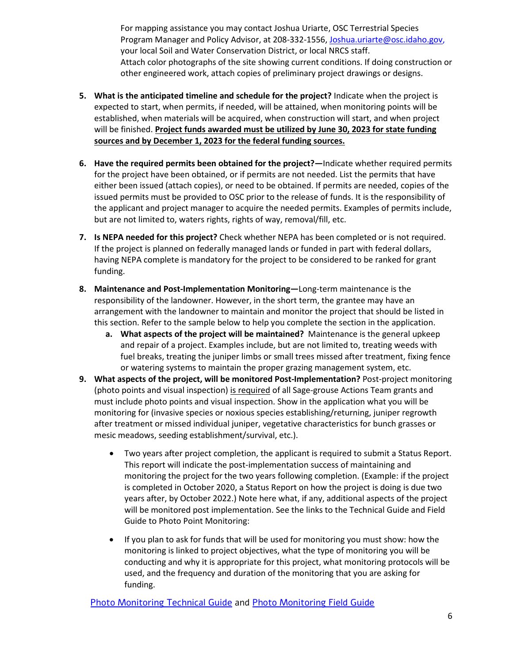For mapping assistance you may contact Joshua Uriarte, OSC Terrestrial Species Program Manager and Policy Advisor, at 208-332-1556[, Joshua.uriarte@osc.idaho.gov,](mailto:Joshua.uriarte@osc.idaho.gov) your local Soil and Water Conservation District, or local NRCS staff. Attach color photographs of the site showing current conditions. If doing construction or other engineered work, attach copies of preliminary project drawings or designs.

- **5. What is the anticipated timeline and schedule for the project?** Indicate when the project is expected to start, when permits, if needed, will be attained, when monitoring points will be established, when materials will be acquired, when construction will start, and when project will be finished. **Project funds awarded must be utilized by June 30, 2023 for state funding sources and by December 1, 2023 for the federal funding sources.**
- **6. Have the required permits been obtained for the project?—**Indicate whether required permits for the project have been obtained, or if permits are not needed. List the permits that have either been issued (attach copies), or need to be obtained. If permits are needed, copies of the issued permits must be provided to OSC prior to the release of funds. It is the responsibility of the applicant and project manager to acquire the needed permits. Examples of permits include, but are not limited to, waters rights, rights of way, removal/fill, etc.
- **7. Is NEPA needed for this project?** Check whether NEPA has been completed or is not required. If the project is planned on federally managed lands or funded in part with federal dollars, having NEPA complete is mandatory for the project to be considered to be ranked for grant funding.
- **8. Maintenance and Post-Implementation Monitoring—**Long-term maintenance is the responsibility of the landowner. However, in the short term, the grantee may have an arrangement with the landowner to maintain and monitor the project that should be listed in this section. Refer to the sample below to help you complete the section in the application.
	- **a. What aspects of the project will be maintained?** Maintenance is the general upkeep and repair of a project. Examples include, but are not limited to, treating weeds with fuel breaks, treating the juniper limbs or small trees missed after treatment, fixing fence or watering systems to maintain the proper grazing management system, etc.
- **9. What aspects of the project, will be monitored Post-Implementation?** Post-project monitoring (photo points and visual inspection) is required of all Sage-grouse Actions Team grants and must include photo points and visual inspection. Show in the application what you will be monitoring for (invasive species or noxious species establishing/returning, juniper regrowth after treatment or missed individual juniper, vegetative characteristics for bunch grasses or mesic meadows, seeding establishment/survival, etc.).
	- Two years after project completion, the applicant is required to submit a Status Report. This report will indicate the post-implementation success of maintaining and monitoring the project for the two years following completion. (Example: if the project is completed in October 2020, a Status Report on how the project is doing is due two years after, by October 2022.) Note here what, if any, additional aspects of the project will be monitored post implementation. See the links to the Technical Guide and Field Guide to Photo Point Monitoring:
	- If you plan to ask for funds that will be used for monitoring you must show: how the monitoring is linked to project objectives, what the type of monitoring you will be conducting and why it is appropriate for this project, what monitoring protocols will be used, and the frequency and duration of the monitoring that you are asking for funding.

[Photo Monitoring Technical Guide](http://www.cals.uidaho.edu/edcomm/pdf/PNW/PNW671.pdf) and [Photo Monitoring Field Guide](http://www.cals.uidaho.edu/edcomm/pdf/PNW/PNW672.pdf)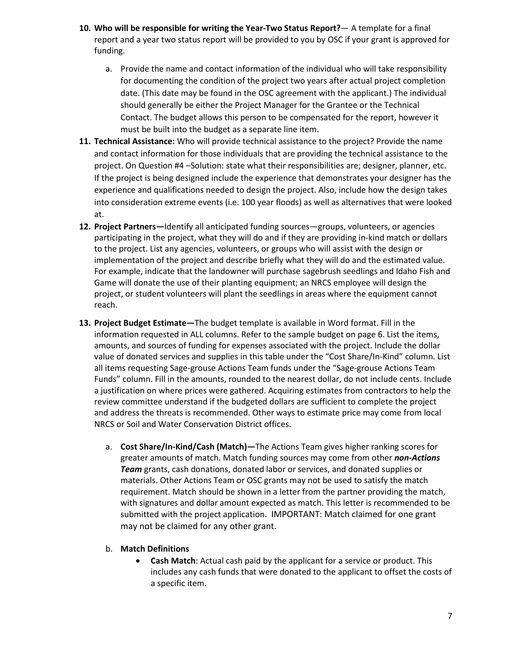- **10. Who will be responsible for writing the Year-Two Status Report?** A template for a final report and a year two status report will be provided to you by OSC if your grant is approved for funding.
	- a. Provide the name and contact information of the individual who will take responsibility for documenting the condition of the project two years after actual project completion date. (This date may be found in the OSC agreement with the applicant.) The individual should generally be either the Project Manager for the Grantee or the Technical Contact. The budget allows this person to be compensated for the report, however it must be built into the budget as a separate line item.
- **11. Technical Assistance:** Who will provide technical assistance to the project? Provide the name and contact information for those individuals that are providing the technical assistance to the project. On Question #4 –Solution: state what their responsibilities are; designer, planner, etc. If the project is being designed include the experience that demonstrates your designer has the experience and qualifications needed to design the project. Also, include how the design takes into consideration extreme events (i.e. 100 year floods) as well as alternatives that were looked at.
- **12. Project Partners—**Identify all anticipated funding sources—groups, volunteers, or agencies participating in the project, what they will do and if they are providing in-kind match or dollars to the project. List any agencies, volunteers, or groups who will assist with the design or implementation of the project and describe briefly what they will do and the estimated value. For example, indicate that the landowner will purchase sagebrush seedlings and Idaho Fish and Game will donate the use of their planting equipment; an NRCS employee will design the project, or student volunteers will plant the seedlings in areas where the equipment cannot reach.
- **13. Project Budget Estimate—**The budget template is available in Word format. Fill in the information requested in ALL columns. Refer to the sample budget on page 6. List the items, amounts, and sources of funding for expenses associated with the project. Include the dollar value of donated services and supplies in this table under the "Cost Share/In-Kind" column. List all items requesting Sage-grouse Actions Team funds under the "Sage-grouse Actions Team Funds" column. Fill in the amounts, rounded to the nearest dollar, do not include cents. Include a justification on where prices were gathered. Acquiring estimates from contractors to help the review committee understand if the budgeted dollars are sufficient to complete the project and address the threats is recommended. Other ways to estimate price may come from local NRCS or Soil and Water Conservation District offices.
	- a. **Cost Share/In-Kind/Cash (Match)—**The Actions Team gives higher ranking scores for greater amounts of match. Match funding sources may come from other *non-Actions Team* grants, cash donations, donated labor or services, and donated supplies or materials. Other Actions Team or OSC grants may not be used to satisfy the match requirement. Match should be shown in a letter from the partner providing the match, with signatures and dollar amount expected as match. This letter is recommended to be submitted with the project application. IMPORTANT: Match claimed for one grant may not be claimed for any other grant.
	- b. **Match Definitions** 
		- **Cash Match**: Actual cash paid by the applicant for a service or product. This includes any cash funds that were donated to the applicant to offset the costs of a specific item.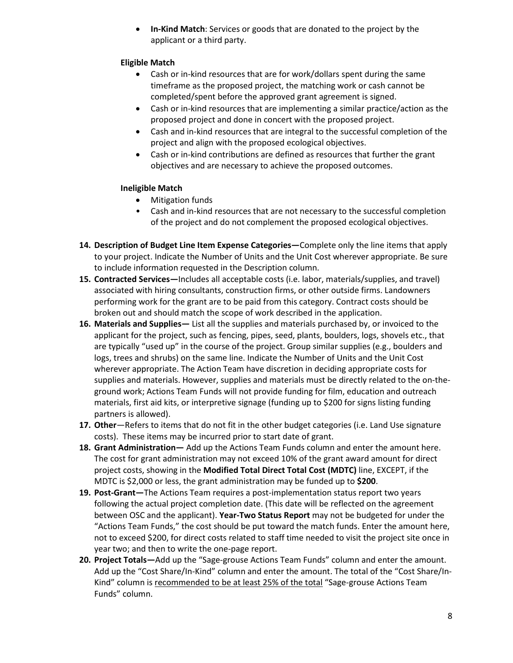• **In-Kind Match**: Services or goods that are donated to the project by the applicant or a third party.

#### **Eligible Match**

- Cash or in-kind resources that are for work/dollars spent during the same timeframe as the proposed project, the matching work or cash cannot be completed/spent before the approved grant agreement is signed.
- Cash or in-kind resources that are implementing a similar practice/action as the proposed project and done in concert with the proposed project.
- Cash and in-kind resources that are integral to the successful completion of the project and align with the proposed ecological objectives.
- Cash or in-kind contributions are defined as resources that further the grant objectives and are necessary to achieve the proposed outcomes.

#### **Ineligible Match**

- Mitigation funds
- Cash and in-kind resources that are not necessary to the successful completion of the project and do not complement the proposed ecological objectives.
- **14. Description of Budget Line Item Expense Categories—**Complete only the line items that apply to your project. Indicate the Number of Units and the Unit Cost wherever appropriate. Be sure to include information requested in the Description column.
- **15. Contracted Services—**Includes all acceptable costs (i.e. labor, materials/supplies, and travel) associated with hiring consultants, construction firms, or other outside firms. Landowners performing work for the grant are to be paid from this category. Contract costs should be broken out and should match the scope of work described in the application.
- **16. Materials and Supplies—** List all the supplies and materials purchased by, or invoiced to the applicant for the project, such as fencing, pipes, seed, plants, boulders, logs, shovels etc., that are typically "used up" in the course of the project. Group similar supplies (e.g., boulders and logs, trees and shrubs) on the same line. Indicate the Number of Units and the Unit Cost wherever appropriate. The Action Team have discretion in deciding appropriate costs for supplies and materials. However, supplies and materials must be directly related to the on-theground work; Actions Team Funds will not provide funding for film, education and outreach materials, first aid kits, or interpretive signage (funding up to \$200 for signs listing funding partners is allowed).
- **17. Other**—Refers to items that do not fit in the other budget categories (i.e. Land Use signature costs). These items may be incurred prior to start date of grant.
- **18. Grant Administration—** Add up the Actions Team Funds column and enter the amount here. The cost for grant administration may not exceed 10% of the grant award amount for direct project costs, showing in the **Modified Total Direct Total Cost (MDTC)** line, EXCEPT, if the MDTC is \$2,000 or less, the grant administration may be funded up to **\$200**.
- **19. Post-Grant—**The Actions Team requires a post-implementation status report two years following the actual project completion date. (This date will be reflected on the agreement between OSC and the applicant). **Year-Two Status Report** may not be budgeted for under the "Actions Team Funds," the cost should be put toward the match funds. Enter the amount here, not to exceed \$200, for direct costs related to staff time needed to visit the project site once in year two; and then to write the one-page report.
- **20. Project Totals—**Add up the "Sage-grouse Actions Team Funds" column and enter the amount. Add up the "Cost Share/In-Kind" column and enter the amount. The total of the "Cost Share/In-Kind" column is recommended to be at least 25% of the total "Sage-grouse Actions Team Funds" column.